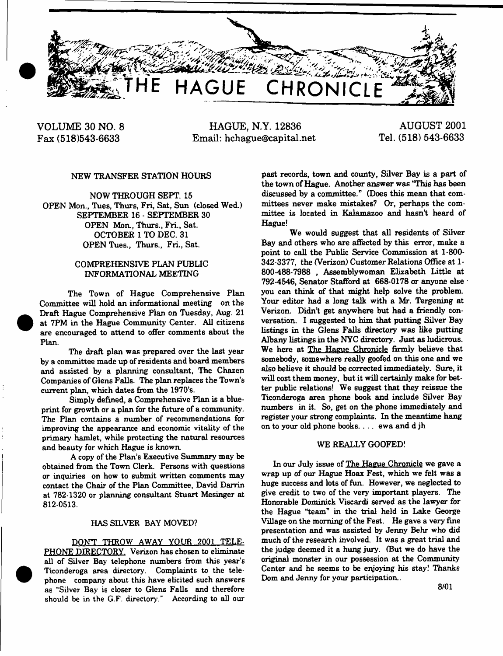

**VOLUME 30 NO. 8 Fax (518)543-6633**

**HAGUE, N.Y. 12836 Email: [hchague@capital.net](mailto:hchague@capital.net)**

**AUGUST 2001 Tel. (518) 543-6633**

## **NEW TRANSFER STATION HOURS**

**NOW THROUGH SEPT. 15 OPEN Mon., Tues, Thurs, Fri, Sat, Sun (closed Wed.) SEPTEMBER 16 - SEPTEMBER 30 OPEN Mon,, Thurs., Fri., Sat. OCTOBER 1 TO DEC. 31 OPEN Tues., Thurs., Fri., Sat.**

## **COMPREHENSIVE PLAN PUBLIC INFORMATIONAL MEETING**

**The Town of Hague Comprehensive Plan Committee will hold an informational meeting on the Draft Hague Comprehensive Plan on Tuesday, Aug. 21 at 7PM in the Hague Community Center. All citizens are encouraged to attend to offer comments about the Plan.**

**The draft plan was prepared over the last year by a committee made up of residents and board members and assisted by a planning consultant, The Chazen Companies of Glens Falls. The plan replaces the Town's current plan, which dates from the 1970's.**

**Simply defined, a Comprehensive Plan is a blueprint for growth or a plan for the future of a community. The Plan contains a number of recommendations for improving the appearance and economic vitality of the primary hamlet, while protecting the natural resources and beauty for which Hague is known.**

**A copy of the Plan's Executive Summary may be obtained from the Town Clerk. Persons with questions or inquiries on how to submit written comments may contact the Chair of the Plan Committee, David Darrin at 782-1320 or planning consultant Stuart Mesinger at 812-0513.**

#### **HAS SILVER BAY MOVED?**

**PONT THROW AWAY YOUR 2001 TELE. PHONE DIRECTORY, Verizon has chosen to eliminate all of Silver Bay telephone numbers from thi6 year's Ticonderoga area directory. Complaints to the telephone company about this have elicited such answers as "Silver Bay is closer to Glens Falls and therefore should be in the G.F. directory." According to all our**

**past records, town and county, Silver Bay is a part of the town of Hague. Another answer was "This has been discussed by a committee." (Does this mean that committees never make mistakes? Or, perhaps the committee is located in Kalamazoo and hasn't heard of Hague!**

**We would suggest that all residents of Silver Bay and others who are affected by this error, make a point to call the Public Service Commission at 1-800- 342-3377, the (Verizon) Customer Relations Office at 1- 800-488-7988 , Assemblywoman Elizabeth Little at 792-4546, Senator Stafford at 668-0178 or anyone else you can think of that might help solve the problem. Your editor had a long talk with a Mr. Tergening at Verizon. Didn't get anywhere but had a friendly conversation. I suggested to him that putting Silver Bay listings in the Glens Falls directory was like putting Albany listings in the NYC directory. Just as ludicrous. We here at The Hague Chronicle firmly believe that somebody, somewhere really goofed on this one and we also believe it should be corrected immediately. Sure, it will cost them money, but it will certainly make for better public relations! We suggest that they reissue the Ticonderoga area phone book and include Silver Bay numbers in it. So, get on the phone immediately and register your strong complaints. In the meantime hang on to your old phone books. . . . ewa and d jh**

#### **WE REALLY GOOFED!**

**In our July issue of The Hague Chronicle we gave a wrap up of our Hague Hoax Fest, which we felt was a huge success and lots of fun. However, we neglected to give credit to two of the very important players. The Honorable Dominick Viscardi served as the lawyer for the Hague "team" in the trial held in Lake George Village on the morning of the Fest, He gave a very fine** presentation and was assisted by Jenny Behr who did **much of the research involved. It was a great trial and the judge deemed it a hung jury. (But we do have the original monster in our possession at the Community Center and he seems to be enjoying his stay! Thanks Dom and Jenny for your participation..**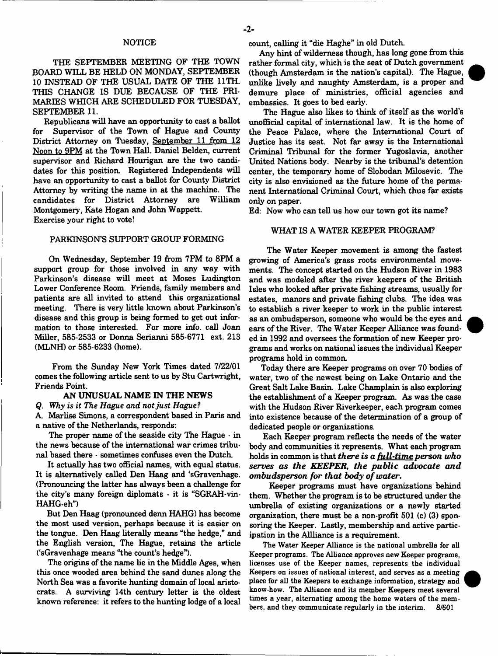#### **NOTICE**

**THE SEPTEMBER MEETING OF THE TOWN BOARD WILL BE HELD ON MONDAY, SEPTEMBER 10 INSTEAD OF THE USUAL DATE OF THE 11TH. THIS CHANGE IS DUE BECAUSE OF THE PRI-MARIES WHICH ARE SCHEDULED FOR TUESDAY, SEPTEMBER 11.**

**Republicans will have an opportunity to cast a ballot for Supervisor of the Town of Hague and County District Attorney on Tuesday, September 11 from 12 Noon to 9PM at the Town Hall. Daniel Belden, current supervisor and Richard Hourigan are the two candidates for this position. Registered Independents will have an opportunity to cast a ballot for County District** Attorney by writing the name in at the machine. The candidates for District Attorney are William candidates for District Attorney are **Montgomery, Kate Hogan and John Wappett. Exercise your right to vote!**

## **PARKINSON'S SUPPORT GROUP FORMING**

**On Wednesday, September 19 from 7PM to 8PM a support group for those involved in any way with Parkinson's disease will meet at Moses Ludington Lower Conference Room. Friends, family members and patients are all invited to attend this organizational meeting. There is very little known about Parkinson's disease and this group is being formed to get out information to those interested. For more info, call Joan Miller, 585-2533 or Donna Serianni 585-6771 ext. 213 (MLNH) or 585-6233 (home).**

**From the Sunday New York Times dated 7/22/01 comes the following article sent to us by Stu Cartwright, Friends Point.**

#### **AN UNUSUAL NAME IN THE NEWS**

*Q. Why is it The Hague and not just Hague?*

**A Marlise Simons, a correspondent based in Paris and a native of the Netherlands, responds:**

**The proper name of the seaside city The Hague - in the news because of the international war crimes tribunal based there - sometimes confuses even the Dutch.**

**It actually has two official names, with equal status. It is alternatively called Den Haag and (sGravenhage. (Pronouncing the latter has always been a challenge for the city's many foreign diplomats - it is "SGRAH-vin-HAHG-eh")**

**But Den Haag (pronounced denn HAHG) has become the most used version, perhaps because it is easier on the tongue. Den Haag literally means "the hedge," and the English version, The Hague, retains the article ('sGravenhage means "the count's hedge").**

**The origins of the name lie in the Middle Ages, when this once wooded area behind the sand dunes along the North Sea was a favorite hunting domain of local aristocrats. A surviving 14th century letter is the oldest known reference: it refers to the hunting lodge of a local**

**count, calling it "die Haghe" in old Dutch.**

**Any hint of wilderness though, has long gone from this rather formal city, which is the seat of Dutch government (though Amsterdam is the nation's capital). The Hague, unlike lively and naughty Amsterdam, is a proper and demure place of ministries, official agencies and embassies. It goes to bed early.**

**The Hague also likes to think of itself as the world's unofficial capital of international law. It is the home of the Peace Palace, where the International Court of Justice has its seat. Not far away is the International Criminal Tribunal for the former Yugoslavia, another United Nations body. Nearby is the tribunal's detention center, the temporary home of Slobodan Milosevic. The city is also envisioned as the future home of the permanent International Criminal Court, which thus far exists only on paper.**

**Ed: Now who can tell us how our town got its name?**

#### **WHAT IS A WATER KEEPER PROGRAM?**

**The Water Keeper movement is among the fastest growing of America's grass roots environmental movements. The concept started on the Hudson River in 1983 and was modeled after the river keepers of the British Isles who looked after private fishing streams, usually for estates, manors and private fishing clubs. The idea was to establish a river keeper to work in the public interest as an ombudsperson, someone who would be the eyes and ears of the River. The Water Keeper Alliance was founded in 1992 and oversees the formation of new Keeper programs and works on national issues the individual Keeper programs hold in common.**

**Today there are Keeper programs on over 70 bodies of water, two of the newest being on Lake Ontario and the Great Salt Lake Basin. Lake Champlain is also exploring the establishment of a Keeper program. As was the case with the Hudson River Riverkeeper, each program comes into existence because of the determination of a group of dedicated people or organizations.**

**Each Keeper program reflects the needs of the water body and communities it represents. What each program holds in common is that** *there is a full-time* **person** *who serves as the KEEPER, the public advocate and ombudsperson for that body of water.*

**Keeper programs must have organizations behind them. Whether the program is to be structured under the umbrella of existing organizations or a newly started organization, there must be a non-profit 501 (c) (3) sponsoring the Keeper. Lastly, membership and active participation in the Allliance is a requirement.**

The Water Keeper Alliance is the national umbrella for all Keeper programs. The Alliance approves new Keeper programs, licenses use of the Keeper names, represents the individual Keepers on issues of national interest, and serves as a meeting place for all the Keepers to exchange information, strategy and know-how. The Alliance and its member Keepers meet several times a year, alternating among the home waters of the members, and they communicate regularly in the interim. 8/601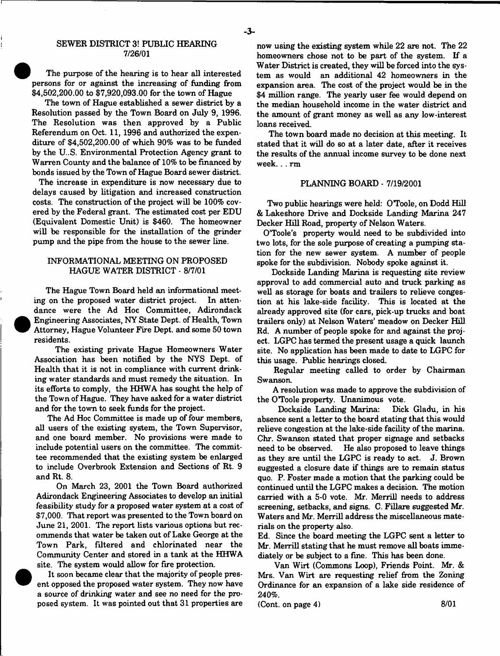#### **SEWER DISTRICT 3! PUBLIC HEARING 7/26/01**

- **3**-

**The purpose of the hearing is to hear all interested persons for or against the increasing of funding from \$4,502,200.00 to \$7,920,093.00 for the town of Hague**

**The town of Hague established a sewer district by a Resolution passed by the Town Board on July 9, 1996. The Resolution was then approved by a Public Referendum on Oct. 11, 1996 and authorized the expenditure of \$4,502,200.00 of which 90% was to be funded by the U..S. Environmental Protection Agency grant to Warren County and the balance of 10% to be financed by bonds issued by the Town of Hague Board sewer district.**

**The increase in expenditure is now necessary due to delays caused by litigation and increased construction costs. The construction of the project will be 100% covered by the Federal grant. The estimated cost per EDU (Equivalent Domestic Unit) is \$460. The homeowner will be responsible for the installation of the grinder pump and the pipe from the house to the sewer line.**

## **INFORMATIONAL MEETING ON PROPOSED HAGUE WATER DISTRICT - 8/7/01**

**The Hague Town Board held an informational meeting on the proposed water district project. In attendance were the Ad Hoc Committee, Adirondack Engineering Associates, NY State Dept, of Health, Town Attorney, Hague Volunteer Fire Dept, and some 50 town residents.**

**The existing private Hague Homeowners Water Association has been notified by the NYS Dept, of Health that it is not in compliance with current drinking water standards and must remedy the situation. In its efforts to comply, the HHWA has sought the help of the Town of Hague. They have asked for a water district and for the town to seek funds for the project.**

**The Ad Hoc Committee is made up of four members, all users of the existing system, the Town Supervisor, and one board member. No provisions were made to** include potential users on the committee. The commit**tee recommended that the existing system be enlarged to include Overbrook Extension and Sections of Rt. 9 and Rt. 8.**

**On March 23, 2001 the Town Board authorized Adirondack Engineering Associates to develop an initial feasibility study for a proposed water system at a cost of \$7,000. That report was presented to the Town board on June 21, 2001. The report lists various options but recommends that water be taken out of Lake George at the Town Park, filtered and chlorinated near the Community Center and stored in a tank at the HHWA site. The system would allow for fire protection.**

**It soon became clear that the majority of people present opposed the proposed water system. They now have a source of drinking water and see no need for the proposed system. It was pointed out that 31 properties are** **now using the existing system while 22 are not. The 22 homeowners chose not to be part of the system. If a Water District is created, they will be forced into the system as would an additional 42 homeowners in the expansion area. The cost of the project would be in the \$4 million range. The yearly user fee would depend on the median household income in the water district and the amount of grant money as well as any low-interest loans received.**

**The town board made no decision at this meeting. It stated that it will do so at a later date, after it receives the results of the annual income survey to be done next week. . . rm**

#### **PLANNING BOARD - 7/19/2001**

**Two public hearings were held: OToole, on Dodd Hill & Lake shore Drive and Dockside Landing Marina 247 Decker Hill Road, property of Nelson Waters.**

**O'Toole's property would need to be subdivided into two lots, for the sole purpose of creating a pumping station for the new sewer system. A number of people spoke for the subdivision. Nobody spoke against it.**

**Dockside Landing Marina is requesting site review approval to add commercial auto and truck parking as well as storage for boats and trailers to relieve congestion at his lake-side facility. This is located at the already approved site (for cars, pick-up trucks and boat trailers only) at Nelson Waters' meadow on Decker Hill Rd. A number of people spoke for and against the project. LGPC has termed the present usage a quick launch site. No application has been made to date to LGPC for this usage. Public hearings closed.**

**Regular meeting called to order by Chairman Swanson.**

**A resolution was made to approve the subdivision of the OToole property. Unanimous vote.**

**Dockside Landing Marina: Dick Gladu, in his absence sent a letter to the board stating that this would relieve congestion at the lake-side facility of the marina. Chr. Swanson stated that proper signage and setbacks need to be observed. He also proposed to leave things as they are until the LGPC is ready to act. J. Brown suggested a closure date if things are to remain status quo. P. Foster made a motion that the parking could be continued until the LGPC makes a decision. The motion carried with a 5-0 vote. Mr. Merrill needs to address screening, setbacks, and signs. C. Fillare suggested Mr. Waters and Mr. Merrill address the miscellaneous materials on the property also.**

**Ed. Since the board meeting the LGPC sent a letter to Mr. Merrill stating that he must remove all boats immediately or be subject to a fine. This has been done.**

**Van Wirt (Commons Loop), Friends Point. Mr. & Mrs. Van Wirt are requesting relief from the Zoning Ordinance for an expansion of a lake side residence of 240%.**

**(Cont. on page 4) 8/01**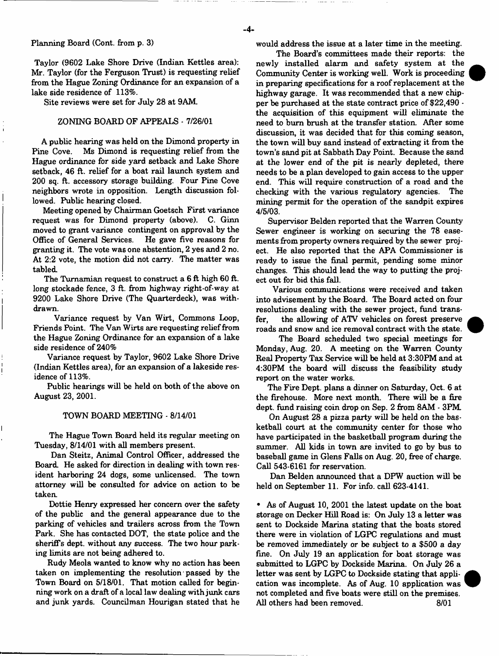#### **Planning Board (Cont. from p. 3)**

**Taylor (9602 Lake Shore Drive (Indian Kettles area): Mr. Taylor (for the Ferguson Trust) is requesting relief from the Hague Zoning Ordinance for an expansion of a lake side residence of 113%.**

**Site reviews were set for July 28 at 9AM.**

#### **ZONING BOARD OF APPEALS - 7/26/01**

**A public hearing was held on the Dimond property in Pine Cove. Ms Dimond is requesting relief from the Hague ordinance for side yard setback and Lake Shore setback, 46 ft. relief for a boat rail launch system and 200 sq. ft. accessory storage building. Four Pine Cove neighbors wrote in opposition. Length discussion followed. Public hearing closed.**

**Meeting opened by Chairman Goetsch First variance request was for Dimond property (above). C. Ginn moved to grant variance contingent on approval by the Office of General Services. He gave five reasons for granting it. The vote was one abstention, 2 yes and 2 no. At 2:2 vote, the motion did not carry. The matter was tabled.**

**The Tumamian request to construct a 6 ft high 60 ft. long stockade fence, 3 ft. from highway right-of-way at 9200 Lake Shore Drive (The Quarterdeck), was withdrawn.**

**Variance request by Van Wirt, Commons Loop, Friends Point. The Van Wirts are requesting relief from the Hague Zoning Ordinance for an expansion of a lake side residence of 240%**

**Variance request by Taylor, 9602 Lake Shore Drive (Indian Kettles area), for an expansion of a lakeside residence of 113%.**

**Public hearings will be held on both of the above on August 23, 2001.**

#### **TOWN BOARD MEETING - 8/14/01**

**The Hague Town Board held its regular meeting on Tuesday, 8/14/01 with all members present.**

**Dan Steitz, Animal Control Officer, addressed the Board. He asked for direction in dealing with town resident harboring 24 dogs, some unlicensed. The town attorney will be consulted for advice on action to be taken.**

**Dottie Henry expressed her concern over the safety of the public and the general appearance due to the parking of vehicles and trailers across from the Town Park. She has contacted DOT, the state police and the sheriffs dept, without any success. The two hour parking limits are not being adhered to.**

**Rudy Meola wanted to know why no action has been taken on implementing the resolution passed by the Town Board on 5/18/01. That motion called for beginning work on a draft of a local law dealing with junk cars and junk yards. Councilman Hourigan stated that he** **would address the issue at a later time in the meeting.**

**The Board's committees made their reports: the newly installed alarm and safety system at the Community Center is working well. Work is proceeding in preparing specifications for a roof replacement at the highway garage. It was recommended that a new chipper be purchased at the state contract price of \$22,490 the acquisition of this equipment will eliminate the need to bum brush at the transfer station. After some discussion, it was decided that for this coming season, the town will buy sand instead of extracting it from the town's sand pit at Sabbath Day Point. Because the sand at the lower end of the pit is nearly depleted, there needs to be a plan developed to gain access to the upper end. This will require construction of a road and the checking with the various regulatory agencies. The mining permit for the operation of the sandpit expires 4/5/03.**

**Supervisor Belden reported that the Warren County Sewer engineer is working on securing the 78 easements from property owners required by the sewer project. He also reported that the APA Commissioner is ready to issue the final permit, pending some minor changes. This should lead the way to putting the project out for bid this fall.**

**Various communications were received and taken into advisement by the Board. The Board acted on four resolutions dealing with the sewer project, fund transfer, the allowing of ATV vehicles on forest preserve roads and snow and ice removal contract with the state.**

**The Board scheduled two special meetings for Monday, Aug. 20. A meeting on the Warren County Real Property Tax Service will be held at 3:30PM and at 4:30PM the board will discuss the feasibility study report on the water works.**

**The Fire Dept, plans a dinner on Saturday, Oct. 6 at the firehouse. More next month. There will be a fire dept, fund raising coin drop on Sep. 2 from 8AM - 3PM**

**On August 28 a pizza party will be held on the basketball court at the community center for those who have participated in the basketball program during the summer. All kids in town are invited to go by bus to baseball game in Glens Falls on Aug. 20, free of charge. Call 543-6161 for reservation.**

**Dan Belden announced that a DPW auction will be held on September 11. For info, call 623-4141.**

**\* As of August 10, 2001 the latest update on the boat storage on Decker Hill Road is: On July 13 a letter was sent to Dockside Marina stating that the boats stored there were in violation of LGPC regulations and must be removed immediately or be subject to a \$500 a day fine. On July 19 an application for boat storage was submitted to LGPC by Dockside Marina. On July 26 a letter was sent by LGPC to Dockside stating that application was incomplete. As of Aug. 10 application was not completed and five boats were still on the premises. All others had been removed. 8/01**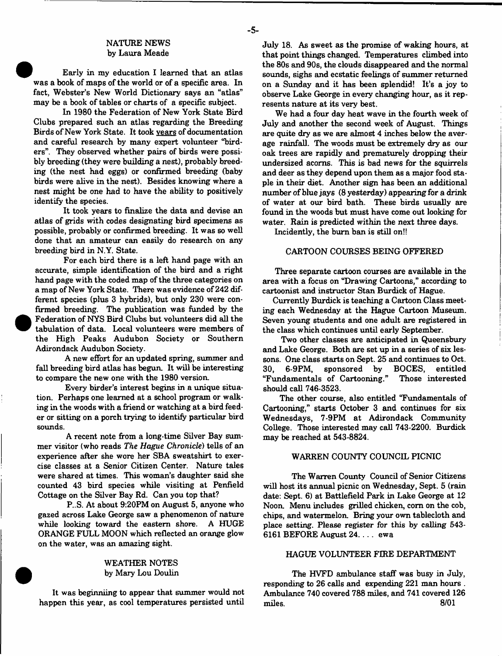## **NATURE NEWS by Laura Meade**

**Early in my education I learned that an atlas was a book of maps of the world or of a specific area. In fact, Webster's New World Dictionary says an "atlas" may be a book of tables or charts of a specific subject.**

**In 1980 the Federation of New York State Bird Clubs prepared such an atlas regarding the Breeding Birds of New York State. It took years of documentation** and careful research by many expert volunteer "bird**ers". They observed whether pairs of birds were possibly breeding (they were building a nest), probably breeding (the nest had eggs) or confirmed breeding (baby birds were alive in the nest). Besides knowing where a nest might be one had to have the ability to positively identify the species.**

**It took years to finalize the data and devise an atlas of grids with codes designating bird specimens as possible, probably or confirmed breeding. It was so well done that an amateur can easily do research on any breeding bird in N.Y. State.**

**For each bird there is a left hand page with an accurate, simple identification of the bird and a right hand page with the coded map of the three categories on a map of New York State. There was evidence of242 different species (plus 3 hybrids), but only 230 were confirmed breeding. The publication was funded by the Federation of NYS Bird Clubs but volunteers did all the tabulation of data. Local volunteers were members of the High Peaks Audubon Society or Southern Adirondack Audubon Society.**

**A new effort for an updated spring, summer and fall breeding bird atlas has begun. It will be interesting to compare the new one with the 1980 version.**

**Every birder's interest begins in a unique situation. Perhaps one learned at a school program or walking in the woods with a friend or watching at a bird feeder or sitting on a porch trying to identify particular bird sounds.**

**A recent note from a long-time Silver Bay summer visitor (who reads** *The Hague Chronicle)* **tells of an experience after she wore her SBA sweatshirt to exercise classes at a Senior Citizen Center. Nature tales were shared at times. This woman's daughter said she counted 43 bird species while visiting at Penfield Cottage on the Silver Bay Rd. Can you top that?**

**P..S. At about 9:20PM on August 5, anyone who gazed across Lake George saw a phenomenon of nature while looking toward the eastern shore. A HUGE ORANGE FULL MOON which reflected an orange glow on the water, was an amazing sight.**

## **WEATHER NOTES by Mary Lou Doulin**

**It was beginniing to appear that summer would not happen this year, as cool temperatures persisted until**

**July 18. As sweet as the promise of waking hours, at that point things changed. Temperatures climbed into the 80s and 90s, the clouds disappeared and the normal** sounds, sighs and ecstatic feelings of summer returned **on a Sunday and it has been splendid! It's a joy to observe Lake George in every changing hour, as it represents nature at its very best.**

**We had a four day heat wave in the fourth week of July and another the second week of August. Things are quite dry as we are almost 4 inches below the average rainfall. The woods must be extremely dry as our oak trees are rapidly and prematurely dropping their undersized acorns. This is bad news for the squirrels and deer as they depend upon them as a major food staple in their diet. Another sign has been an additional number of blue jays (8 yesterday) appearing for a drink of water at our bird bath. These birds usually are found in the woods but must have come out looking for water. Rain is predicted within the next three days.**

**Incidently, the bum ban is still on!!**

### **CARTOON COURSES BEING OFFERED**

**Three separate cartoon courses are available in the area with a focus on "Drawing Cartoons," according to cartoonist and instructor Stan Burdick of Hague.**

**Currently Burdick is teaching a Cartoon Class meeting each Wednesday at the Hague Cartoon Museum. Seven young students and one adult are registered in the class which continues until early September.**

**Two other classes are anticipated in Queensbury and Lake George. Both are set up in a series of six lessons. One class starts on Sept. 25 and continues to Oct. 30, 6-9PM, sponsored by BOCES, entitled "Fundamentals of Cartooning." Those interested should call 746-3523.**

**The other course, also entitled "Fundamentals of Cartooning," starts October 3 and continues for six Wednesdays, 7-9PM at Adirondack Community College. Those interested may call 743-2200. Burdick may be reached at 543-8824.**

#### **WARREN COUNTY COUNCIL PICNIC**

**The Warren County Council of Senior Citizens will host its annual picnic on Wednesday, Sept. 5 (rain date: Sept. 6) at Battlefield Park in Lake George at 12 Noon. Menu includes grilled chicken, com on the cob, chips, and watermelon. Bring your own tablecloth and place setting. Please register for this by calling 543- 6161 BEFORE August 24. . . . ewa**

#### **HAGUE VOLUNTEER FIRE DEPARTMENT**

**The HVFD ambulance staff was busy in July, responding to 26 calls and expending 221 man hours . Ambulance 740 covered 788 miles, and 741 covered 126 miles. 8/01**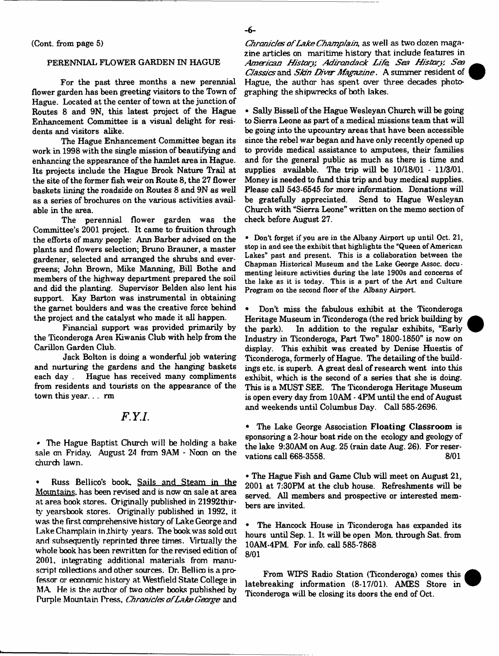## **PERENNIAL FLOWER GARDEN IN HAGUE**

**For the past three months a new perennial flower garden has been greeting visitors to the Town of Hague. Located at the center of town at the junction of Routes 8 and 9N, this latest project of the Hague Enhancement Committee is a visual delight for residents and visitors alike.**

**The Hague Enhancement Committee began its work in 1998 with the single mission of beautifying and enhancing the appearance of the hamlet area in Hague. Its projects include the Hague Brook Nature Trail at the site of the former fish weir on Route 8, the 27 flower baskets lining the roadside on Routes 8 and 9N as well as a series of brochures on the various activities available in the area.**

**The perennial flower garden was the Committee's 2001 project. It came to fruition through the efforts of many people: Ann Barber advised on the plants and flowers selection; Bruno Brauner, a master gardener, selected and arranged the shrubs and evergreens; John Brown, Mike Manning, Bill Bothe and members of the highway department prepared the soil and did the planting. Supervisor Belden also lent his support. Kay Barton was instrumental in obtaining the garnet boulders and was the creative force behind the project and the catalyst who made it all happen.**

**Financial support was provided primarily by the Ticonderoga Area Kiwanis Club with help from the Carillon Garden Club.**

**Jack Bolton is doing a wonderful job watering and nurturing the gardens and the hanging baskets each day . Hague has received many compliments** from residents and tourists on the appearance of the **town this year. . . rm**

## *F.Y.I.*

*\** **The Hague Baptist Church will be holding a bake sale an Friday, August** *24* **from 9AM - Noon an the church lawn.**

**• Russ Bellico's book. Sails and Steam in the Mountains, has been revised and is new an sale at area at area book stores. Originally published in 21992thirty yearsbook stores. Originally published in 1992, it was the first comprehensive history of Lake George and Lake Champlain in,thirty years. The book was sold out and subsequently reprinted three times. Virtually the whole book has been rewritten for the revised edition of 2001, integrating additional materials from manuscript collections and other sources. Dr. Bellico is a professor or economic history at Westfield State College in MA He is the author of two other books published by Purple Mountain Press,** *Chronicles o f Lake George* **and**

*Chronicles of Lake Champlain*, as well as two dozen maga**zine articles on maritime history that include features in** *Am erican H istory: A dirondack Life, Sea H istory. Sea Classjcs* **and** *Skin Div&~ Afagazine***. A summer resident of Hague, the author has spent over three decades photographing the shipwrecks of both lakes.**

**• Sally Bissell of the Hague Wesleyan Church will be going to Sierra Leone as part of a medical missions team that will be going into the upcountry areas that have been accessible since the rebel war began and have only recently opened up to provide medical assistance to amputees, their families and for the general public as much as there is time and supplies available. The trip will be 10/18/01 - 11/3/01. Money is needed to fund this trip and buy medical supplies. Please call 543-6545 for more information. Donations will** be gratefully appreciated. **Church with "Sierra Leone" written on the memo section of check before August 27.**

• Don't forget if you are in the Albany Airport up until Oct. 21, stop in and see the exhibit that highlights the "Queen of American Lakes" past and present. This is a collaboration between the Chapman Historical Museum and the Lake George Assoc, docu menting leisure activities during the late 1900s and concerns of the lake as it is today. This is a part of the Art and Culture Program on the second floor of the Albany Airport.

**• Don't miss the fabulous exhibit at the Ticonderoga Heritage Museum in Ticonderoga (the red brick building by the park). In addition to the regular exhibits, "Early Industry in Ticonderoga, Part Two" 1800-1850" is now on display. This exhibit was created by Denise Huestis of Ticonderoga, formerly of Hague. The detailing of the buildings etc. is superb. A great deal of research went into this exhibit, which is the second of a series that she is doing. This is a MUST SEE. The Ticonderoga Heritage Museum is open every day from 10AM - 4PM until the end of August and weekends until Columbus Day. Call 585\*2696.**

**• The Lake George Association Floating Classroom is sponsoring a 2-hour boat ride on the ecology and geology of the lake 9:30AM on Aug. 25 (rain date Aug. 26). For reser**vations call 668-3558. 8/01

**• The Hague Fish and Game Club will meet on August 21, 2001 at 7:30PM at the club house. Refreshments will be served. All members and prospective or interested members are invited.**

**• The Hancock House in Ticonderoga has expanded its hours until Sep. 1. It will be open Mon. through Sat. from 10AM-4PM For info, call 585-7868** 8/01

**From WIPS Radio Station (Ticonderoga) comes this latebreaking information (8-17/01). AMES Store in Ticonderoga will be closing its doors the end of Oct.**

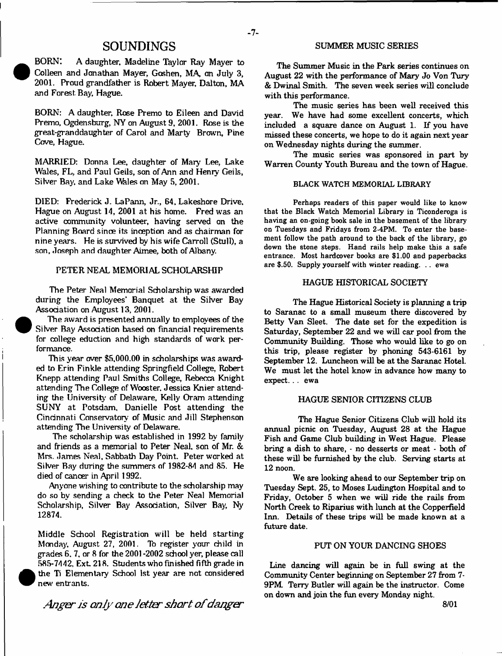# **SOUNDINGS**

**BORN'. A daughter. Madeline Taylor Ray Mayer to Colleen and Jonathan Mayer, Goshen, MA, an July 3, 2001. Proud grandfather is Robert Mayer, Dalton, MA and Forest Bay, Hague.**

**BORN: A daughter. Rose Premo to Eileen and David Premo, Ogdensburg, NY on August 9, 2001. Rose is the great-granddaughter of Carol and Marty Brown, Pine Cove, Hague.**

**MARRIED: Donna Lee, daughter of Mary Lee, Lake Wales, FL, and Paul Geils, son of Ann and Henry Geils, Silver Bay, and Lake Whies on May 5, 2001.**

**DIED: Frederick J. LaPann, Jr., 64, Lakeshore Drive, Hague on August 14, 2001 at his home. Fred was an active community volunteer, having served on the Planning Board since its inception and as chairman for nine years. He is survived by his wife Carroll (Stull), a son, Joseph and daughter Aimee, both of Albany.**

## **PETER NEAL MEMORIAL SCHOLARSHIP**

**The Peter Neal Memorial Scholarship was awarded during the Employees\* Banquet at the Silver Bay Association on August 13, 2001.**



**The award is presented annually to employees of the Silver Bay Association based on financial requirements for college eduction and high standards of work performance.**

**This year over \$5,000.00 in scholarships was awarded to Erin Finkle attending Springfield College, Robert Knepp attending Paul Smiths College, Rebecca Knight attending The College of Wooster, Jessica Knier attending the University of Delaware, Kelly Oram attending SUNY at Potsdam, Danielle Post attending the Cincinnati Conservatory of Music and Jill Stephenson attending The University of Delaware.**

**The scholarship was established in 1992 by family and friends as a memorial to Peter Neal, son of Mr. & Mrs. James Neal, Sabbath Day Point. Peter worked at Silver Bay during the summers of 1982-84 and 85. He died of cancer in April 1992.**

**Anyone wishing to contribute to the scholarship may do so by sending a check to the Peter Neal Memorial Scholarship, Silver Bay Association, Silver Bay, Ny 12874.**

**Middle School Registration will be held starting Monday, August 27, 2001. 7b register your child in grades 6. 7, or 8 for the 2001 -2002 school yer, please call 585-7442, Ext 218. Students who finished fifth grade in** *i* **the Ti Elementary School 1st year are not considered " new' entrants.**

#### **SUMMER MUSIC SERIES**

**The Summer Music in the Park series continues on August 22 with the performance of Mary Jo Von Tury & Dwinal Smith. The seven week series will conclude with this performance.**

**The music series has been well received this year. We have had some excellent concerts, which included a square dance on August 1. If you have missed these concerts, we hope to do it again next year on Wednesday nights during the summer.**

**The music series was sponsored in part by Warren County Youth Bureau and the town of Hague.**

#### BLACK WATCH MEMORIAL LIBRARY

Perhaps readers of this paper would like to know that the Black Watch Memorial Library in Ticonderoga is having an on-going book sale in the basement of the library on Tuesdays and Fridays from 2-4PM. To enter the basement follow the path around to the back of the library, go down the stone steps. Hand rails help make this a safe entrance. Most hardcover books are \$1.00 and paperbacks are \$.50. Supply yourself with winter reading. . . ewa

#### **HAGUE HISTORICAL SOCIETY**

**The Hague Historical Society is planning a trip to Saranac to a small museum there discovered by Betty Van Sleet. The date set for the expedition is Saturday, September 22 and we will car pool from the Community Building. Those who would like to go on this trip, please register by phoning 543-6161 by September 12. Luncheon will be at the Saranac Hotel. We must let the hotel know in advance how many to expect. . . ewa**

## **HAGUE SENIOR CITIZENS CLUB**

**The Hague Senior Citizens Club will hold its annual picnic on Tuesday, August 28 at the Hague Fish and Game Club building in West Hague. Please bring a dish to share, - no desserts or meat - both of these will be furnished by the club. Serving starts at 12 noon.**

**We are looking ahead to our September trip on Tuesday Sept. 25, to Moses Ludington Hospital and to Friday, October 5 when we will ride the rails from North Creek to Riparius with lunch at the Copperfield Inn. Details of these trips will be made known at a future date.**

#### **PUT ON YOUR DANCING SHOES**

**Line dancing will again be in full swing at the Community Center beginning on September 27 from 7- 9PM. Terry Butler will again be the instructor. Come on down and join the fun every Monday night.**

*Anger is only one letter short of danger* 

**8/01**